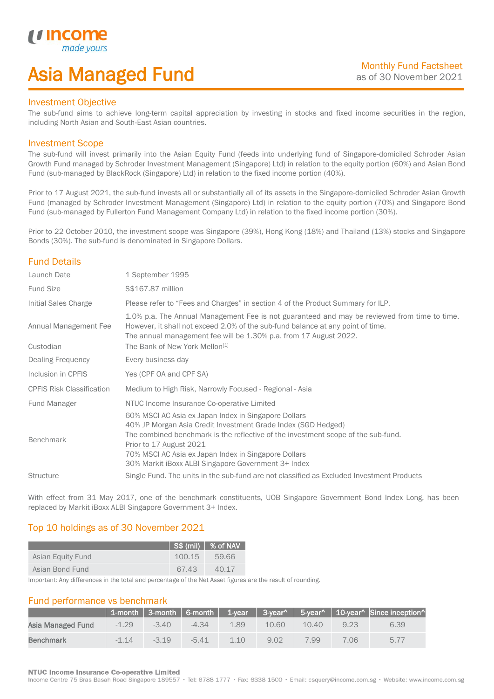## Asia Managed Fund

### Investment Objective

*i i* Incol

I

The sub-fund aims to achieve long-term capital appreciation by investing in stocks and fixed income securities in the region, including North Asian and South-East Asian countries.

### Investment Scope

The sub-fund will invest primarily into the Asian Equity Fund (feeds into underlying fund of Singapore-domiciled Schroder Asian Growth Fund managed by Schroder Investment Management (Singapore) Ltd) in relation to the equity portion (60%) and Asian Bond Fund (sub-managed by BlackRock (Singapore) Ltd) in relation to the fixed income portion (40%).

Prior to 17 August 2021, the sub-fund invests all or substantially all of its assets in the Singapore-domiciled Schroder Asian Growth Fund (managed by Schroder Investment Management (Singapore) Ltd) in relation to the equity portion (70%) and Singapore Bond Fund (sub-managed by Fullerton Fund Management Company Ltd) in relation to the fixed income portion (30%).

Prior to 22 October 2010, the investment scope was Singapore (39%), Hong Kong (18%) and Thailand (13%) stocks and Singapore Bonds (30%). The sub-fund is denominated in Singapore Dollars.

## Fund Details

| Launch Date                        | 1 September 1995                                                                                                                                                                                                                                                                                                                                     |
|------------------------------------|------------------------------------------------------------------------------------------------------------------------------------------------------------------------------------------------------------------------------------------------------------------------------------------------------------------------------------------------------|
| <b>Fund Size</b>                   | \$\$167.87 million                                                                                                                                                                                                                                                                                                                                   |
| Initial Sales Charge               | Please refer to "Fees and Charges" in section 4 of the Product Summary for ILP.                                                                                                                                                                                                                                                                      |
| Annual Management Fee<br>Custodian | 1.0% p.a. The Annual Management Fee is not guaranteed and may be reviewed from time to time.<br>However, it shall not exceed 2.0% of the sub-fund balance at any point of time.<br>The annual management fee will be 1.30% p.a. from 17 August 2022.<br>The Bank of New York Mellon <sup>[1]</sup>                                                   |
| <b>Dealing Frequency</b>           | Every business day                                                                                                                                                                                                                                                                                                                                   |
| Inclusion in CPFIS                 | Yes (CPF OA and CPF SA)                                                                                                                                                                                                                                                                                                                              |
| <b>CPFIS Risk Classification</b>   | Medium to High Risk, Narrowly Focused - Regional - Asia                                                                                                                                                                                                                                                                                              |
| Fund Manager                       | NTUC Income Insurance Co-operative Limited                                                                                                                                                                                                                                                                                                           |
| <b>Benchmark</b>                   | 60% MSCI AC Asia ex Japan Index in Singapore Dollars<br>40% JP Morgan Asia Credit Investment Grade Index (SGD Hedged)<br>The combined benchmark is the reflective of the investment scope of the sub-fund.<br>Prior to 17 August 2021<br>70% MSCI AC Asia ex Japan Index in Singapore Dollars<br>30% Markit iBoxx ALBI Singapore Government 3+ Index |
| <b>Structure</b>                   | Single Fund. The units in the sub-fund are not classified as Excluded Investment Products                                                                                                                                                                                                                                                            |

With effect from 31 May 2017, one of the benchmark constituents, UOB Singapore Government Bond Index Long, has been replaced by Markit iBoxx ALBI Singapore Government 3+ Index.

## Top 10 holdings as of 30 November 2021

|                   |        | $\vert$ S\$ (mil) $\vert$ % of NAV |
|-------------------|--------|------------------------------------|
| Asian Equity Fund | 100.15 | - 59.66                            |
| Asian Bond Fund   | 67.43  | 40.17                              |

Important: Any differences in the total and percentage of the Net Asset figures are the result of rounding.

## Fund performance vs benchmark

|                   |         |         |         |      |       |       |      | 1-month   3-month   6-month   1-year   3-year^   5-year^   10-year^   Since inception^ |
|-------------------|---------|---------|---------|------|-------|-------|------|----------------------------------------------------------------------------------------|
| Asia Managed Fund | $-1.29$ | $-3.40$ | $-4.34$ | 1.89 | 10.60 | 10.40 | 9 23 | 6.39                                                                                   |
| Benchmark         | $-1.14$ | $-319$  | $-5.41$ | 110  | 9.02  | 7.99  | 7.06 | 5.77                                                                                   |

### **NTUC Income Insurance Co-operative Limited**

Income Centre 75 Bras Basah Road Singapore 189557 · Tel: 6788 1777 · Fax: 6338 1500 · Email: csquery@income.com.sg · Website: www.income.com.sg